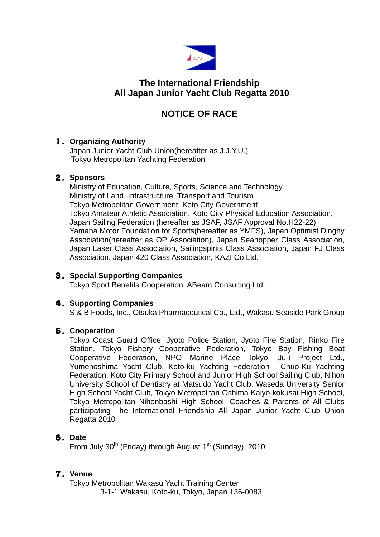

## **The International Friendship All Japan Junior Yacht Club Regatta 2010**

# **NOTICE OF RACE**

### 1.**Organizing Authority**

Japan Junior Yacht Club Union(hereafter as J.J.Y.U.) Tokyo Metropolitan Yachting Federation

### 2.**Sponsors**

 Ministry of Education, Culture, Sports, Science and Technology Ministry of Land, Infrastructure, Transport and Tourism Tokyo Metropolitan Government, Koto City Government Tokyo Amateur Athletic Association, Koto City Physical Education Association, Japan Sailing Federation (hereafter as JSAF, JSAF Approval No.H22-22) Yamaha Motor Foundation for Sports(hereafter as YMFS), Japan Optimist Dinghy Association(hereafter as OP Association), Japan Seahopper Class Association, Japan Laser Class Association, Sailingspirits Class Association, Japan FJ Class Association, Japan 420 Class Association, KAZI Co.Ltd.

### 3.**Special Supporting Companies**

Tokyo Sport Benefits Cooperation, ABeam Consulting Ltd.

### 4.**Supporting Companies**

S & B Foods, Inc., Otsuka Pharmaceutical Co., Ltd., Wakasu Seaside Park Group

### 5.**Cooperation**

Tokyo Coast Guard Office, Jyoto Police Station, Jyoto Fire Station, Rinko Fire Station, Tokyo Fishery Cooperative Federation, Tokyo Bay Fishing Boat Cooperative Federation, NPO Marine Place Tokyo, Ju-i Project Ltd., Yumenoshima Yacht Club, Koto-ku Yachting Federation , Chuo-Ku Yachting Federation, Koto City Primary School and Junior High School Sailing Club, Nihon University School of Dentistry at Matsudo Yacht Club, Waseda University Senior High School Yacht Club, Tokyo Metropolitan Oshima Kaiyo-kokusai High School, Tokyo Metropolitan Nihonbashi High School, Coaches & Parents of All Clubs participating The International Friendship All Japan Junior Yacht Club Union Regatta 2010

### 6.**Date**

From July 30<sup>th</sup> (Friday) through August 1<sup>st</sup> (Sunday), 2010

### 7.**Venue**

 Tokyo Metropolitan Wakasu Yacht Training Center 3-1-1 Wakasu, Koto-ku, Tokyo, Japan 136-0083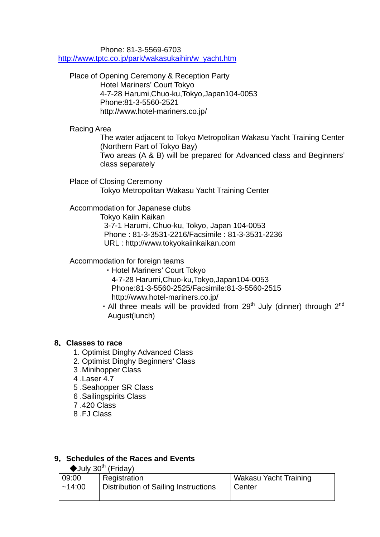Phone: 81-3-5569-6703

[http://www.tptc.co.jp/park/wakasukaihin/w\\_yacht.htm](http://www.tptc.co.jp/park/wakasukaihin/w_yacht.htm)

Place of Opening Ceremony & Reception Party Hotel Mariners' Court Tokyo 4-7-28 Harumi,Chuo-ku,Tokyo,Japan104-0053 Phone:81-3-5560-2521 http://www.hotel-mariners.co.jp/

Racing Area

 The water adjacent to Tokyo Metropolitan Wakasu Yacht Training Center (Northern Part of Tokyo Bay)

Two areas (A & B) will be prepared for Advanced class and Beginners' class separately

Place of Closing Ceremony Tokyo Metropolitan Wakasu Yacht Training Center

Accommodation for Japanese clubs

 Tokyo Kaiin Kaikan 3-7-1 Harumi, Chuo-ku, Tokyo, Japan 104-0053 Phone : 81-3-3531-2216/Facsimile : 81-3-3531-2236 URL : http://www.tokyokaiinkaikan.com

Accommodation for foreign teams

- ・Hotel Mariners' Court Tokyo 4-7-28 Harumi,Chuo-ku,Tokyo,Japan104-0053 Phone:81-3-5560-2525/Facsimile:81-3-5560-2515 http://www.hotel-mariners.co.jp/
- All three meals will be provided from 29<sup>th</sup> July (dinner) through  $2^{nd}$ August(lunch)

### **8**.**Classes to race**

- 1. Optimist Dinghy Advanced Class
- 2. Optimist Dinghy Beginners' Class
- 3 .Minihopper Class
- 4 .Laser 4.7
- 5 .Seahopper SR Class
- 6 .Sailingspirits Class
- 7 .420 Class
- 8 .FJ Class

### **9**.**Schedules of the Races and Events**

 $\blacklozenge$ July 30<sup>th</sup> (Friday)

| 09:00  | Registration                                | Wakasu Yacht Training |
|--------|---------------------------------------------|-----------------------|
| ~14:00 | <b>Distribution of Sailing Instructions</b> | Center                |
|        |                                             |                       |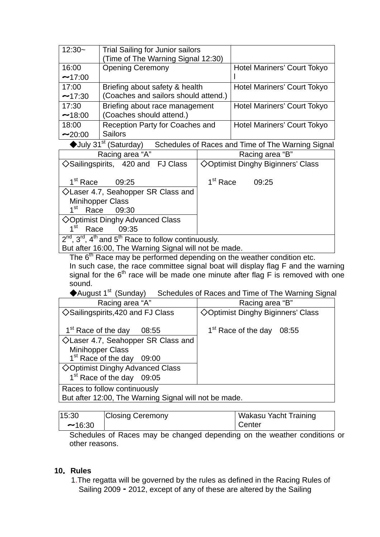| $12:30-$                                                                                              | <b>Trial Sailing for Junior sailors</b>                                           |                      |                                                                                    |
|-------------------------------------------------------------------------------------------------------|-----------------------------------------------------------------------------------|----------------------|------------------------------------------------------------------------------------|
| 16:00                                                                                                 | (Time of The Warning Signal 12:30)                                                |                      |                                                                                    |
| $-17:00$                                                                                              | <b>Opening Ceremony</b>                                                           |                      | Hotel Mariners' Court Tokyo                                                        |
| 17:00                                                                                                 |                                                                                   |                      |                                                                                    |
| ~17:30                                                                                                | Briefing about safety & health<br>(Coaches and sailors should attend.)            |                      | Hotel Mariners' Court Tokyo                                                        |
|                                                                                                       |                                                                                   |                      |                                                                                    |
| 17:30                                                                                                 | Briefing about race management                                                    |                      | <b>Hotel Mariners' Court Tokyo</b>                                                 |
| $-18:00$                                                                                              | (Coaches should attend.)                                                          |                      |                                                                                    |
| 18:00                                                                                                 | Reception Party for Coaches and<br><b>Sailors</b>                                 |                      | Hotel Mariners' Court Tokyo                                                        |
| $-20:00$                                                                                              |                                                                                   |                      |                                                                                    |
| $\blacklozenge$ July 31 <sup>st</sup> (Saturday)<br>Schedules of Races and Time of The Warning Signal |                                                                                   |                      |                                                                                    |
|                                                                                                       | Racing area "A"                                                                   |                      | Racing area "B"                                                                    |
|                                                                                                       | $\diamond$ Sailingspirits, 420 and FJ Class                                       |                      | ◇Optimist Dinghy Biginners' Class                                                  |
| 1 <sup>st</sup> Race                                                                                  | 09:25                                                                             | 1 <sup>st</sup> Race | 09:25                                                                              |
| ◇Laser 4.7, Seahopper SR Class and                                                                    |                                                                                   |                      |                                                                                    |
|                                                                                                       | <b>Minihopper Class</b>                                                           |                      |                                                                                    |
| $1^{\rm st}$<br>Race                                                                                  | 09:30                                                                             |                      |                                                                                    |
|                                                                                                       | ◇Optimist Dinghy Advanced Class                                                   |                      |                                                                                    |
| 1 <sup>st</sup>                                                                                       | Race<br>09:35                                                                     |                      |                                                                                    |
|                                                                                                       | $2^{nd}$ , $3^{rd}$ , $4^{th}$ and $5^{th}$ Race to follow continuously.          |                      |                                                                                    |
|                                                                                                       | But after 16:00, The Warning Signal will not be made.                             |                      |                                                                                    |
|                                                                                                       | The 6 <sup>th</sup> Race may be performed depending on the weather condition etc. |                      |                                                                                    |
|                                                                                                       |                                                                                   |                      | In such case, the race committee signal boat will display flag F and the warning   |
|                                                                                                       |                                                                                   |                      | signal for the $6th$ race will be made one minute after flag F is removed with one |
| sound.                                                                                                |                                                                                   |                      |                                                                                    |
|                                                                                                       | ◆August 1 <sup>st</sup> (Sunday)                                                  |                      | Schedules of Races and Time of The Warning Signal                                  |
|                                                                                                       | Racing area "A"                                                                   |                      | Racing area "B"                                                                    |
|                                                                                                       | $\diamond$ Sailingspirits,420 and FJ Class                                        |                      | ◇Optimist Dinghy Biginners' Class                                                  |
|                                                                                                       | 1 <sup>st</sup> Race of the day<br>08:55                                          |                      | 1 <sup>st</sup> Race of the day 08:55                                              |
|                                                                                                       | $\Diamond$ Laser 4.7, Seahopper SR Class and                                      |                      |                                                                                    |
|                                                                                                       | <b>Minihopper Class</b>                                                           |                      |                                                                                    |
|                                                                                                       | 1 <sup>st</sup> Race of the day<br>09:00                                          |                      |                                                                                    |
|                                                                                                       | $\diamond$ Optimist Dinghy Advanced Class                                         |                      |                                                                                    |
|                                                                                                       | 1 <sup>st</sup> Race of the day<br>09:05                                          |                      |                                                                                    |
|                                                                                                       | Races to follow continuously                                                      |                      |                                                                                    |
|                                                                                                       | But after 12:00, The Warning Signal will not be made.                             |                      |                                                                                    |

| 15:30  | <b>Closing Ceremony</b> | Wakasu Yacht Training |
|--------|-------------------------|-----------------------|
| ~16:30 |                         | Center                |

Schedules of Races may be changed depending on the weather conditions or other reasons.

#### **10**.**Rules**

1.The regatta will be governed by the rules as defined in the Racing Rules of Sailing 2009 - 2012, except of any of these are altered by the Sailing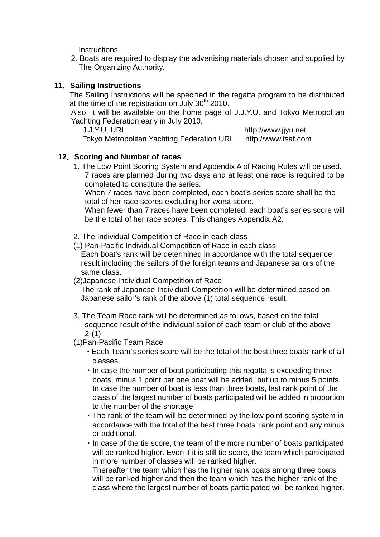Instructions.

2. Boats are required to display the advertising materials chosen and supplied by The Organizing Authority.

#### **11**.**Sailing Instructions**

The Sailing Instructions will be specified in the regatta program to be distributed at the time of the registration on July 30<sup>th</sup> 2010.

Also, it will be available on the home page of J.J.Y.U. and Tokyo Metropolitan Yachting Federation early in July 2010.

J.J.Y.U. URL http://www.jjyu.net

Tokyo Metropolitan Yachting Federation URL http://www.tsaf.com

#### **12**.**Scoring and Number of races**

 1. The Low Point Scoring System and Appendix A of Racing Rules will be used. 7 races are planned during two days and at least one race is required to be completed to constitute the series.

 When 7 races have been completed, each boat's series score shall be the total of her race scores excluding her worst score.

 When fewer than 7 races have been completed, each boat's series score will be the total of her race scores. This changes Appendix A2.

2. The Individual Competition of Race in each class

(1) Pan-Pacific Individual Competition of Race in each class Each boat's rank will be determined in accordance with the total sequence result including the sailors of the foreign teams and Japanese sailors of the same class.

#### (2)Japanese Individual Competition of Race

 The rank of Japanese Individual Competition will be determined based on Japanese sailor's rank of the above (1) total sequence result.

- 3. The Team Race rank will be determined as follows, based on the total sequence result of the individual sailor of each team or club of the above  $2-(1)$ .
- (1)Pan-Pacific Team Race
	- ・Each Team's series score will be the total of the best three boats' rank of all classes.
	- ・In case the number of boat participating this regatta is exceeding three boats, minus 1 point per one boat will be added, but up to minus 5 points. In case the number of boat is less than three boats, last rank point of the class of the largest number of boats participated will be added in proportion to the number of the shortage.
	- ・The rank of the team will be determined by the low point scoring system in accordance with the total of the best three boats' rank point and any minus or additional.
	- ・In case of the tie score, the team of the more number of boats participated will be ranked higher. Even if it is still tie score, the team which participated in more number of classes will be ranked higher.

 Thereafter the team which has the higher rank boats among three boats will be ranked higher and then the team which has the higher rank of the class where the largest number of boats participated will be ranked higher.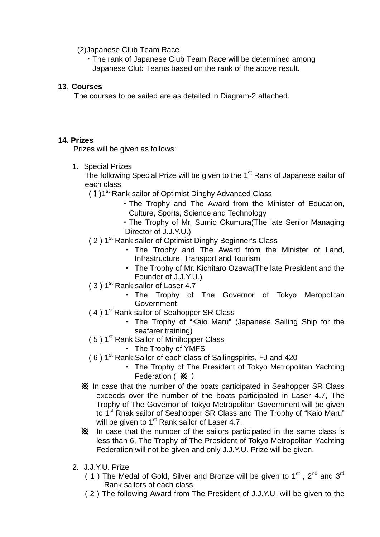(2)Japanese Club Team Race

 ・The rank of Japanese Club Team Race will be determined among Japanese Club Teams based on the rank of the above result.

### **13**.**Courses**

The courses to be sailed are as detailed in Diagram-2 attached.

#### **14. Prizes**

Prizes will be given as follows:

1. Special Prizes

The following Special Prize will be given to the  $1<sup>st</sup>$  Rank of Japanese sailor of each class.

(1)1<sup>st</sup> Rank sailor of Optimist Dinghy Advanced Class

- ・The Trophy and The Award from the Minister of Education, Culture, Sports, Science and Technology
- ・The Trophy of Mr. Sumio Okumura(The late Senior Managing Director of J.J.Y.U.)
- (2) 1<sup>st</sup> Rank sailor of Optimist Dinghy Beginner's Class
	- ・ The Trophy and The Award from the Minister of Land, Infrastructure, Transport and Tourism
	- ・ The Trophy of Mr. Kichitaro Ozawa(The late President and the Founder of J.J.Y.U.)
- $(3)$  1<sup>st</sup> Rank sailor of Laser 4.7
	- ・ The Trophy of The Governor of Tokyo Meropolitan **Government**
- (4) 1<sup>st</sup> Rank sailor of Seahopper SR Class
	- ・ The Trophy of "Kaio Maru" (Japanese Sailing Ship for the seafarer training)
- (5) 1<sup>st</sup> Rank Sailor of Minihopper Class
	- ・ The Trophy of YMFS
- ( 6 ) 1st Rank Sailor of each class of Sailingspirits, FJ and 420
	- ・ The Trophy of The President of Tokyo Metropolitan Yachting Federation ( **※** )
- ※ In case that the number of the boats participated in Seahopper SR Class exceeds over the number of the boats participated in Laser 4.7, The Trophy of The Governor of Tokyo Metropolitan Government will be given to 1<sup>st</sup> Rnak sailor of Seahopper SR Class and The Trophy of "Kaio Maru" will be given to 1<sup>st</sup> Rank sailor of Laser 4.7.
- ※ In case that the number of the sailors participated in the same class is less than 6, The Trophy of The President of Tokyo Metropolitan Yachting Federation will not be given and only J.J.Y.U. Prize will be given.
- 2. J.J.Y.U. Prize
	- ( 1) The Medal of Gold, Silver and Bronze will be given to  $1<sup>st</sup>$ ,  $2<sup>nd</sup>$  and  $3<sup>rd</sup>$ Rank sailors of each class.
	- ( 2 ) The following Award from The President of J.J.Y.U. will be given to the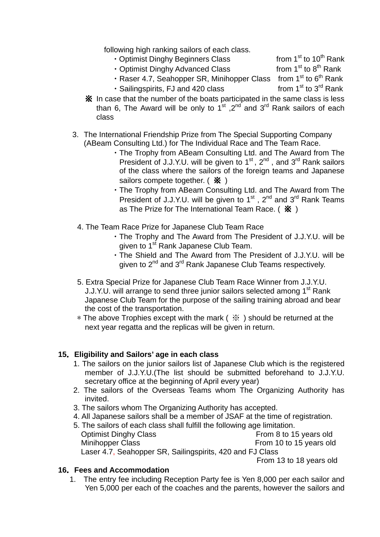following high ranking sailors of each class.

- Optimist Dinghy Beginners Class from  $1<sup>st</sup>$  to  $10<sup>th</sup>$  Rank
- Optimist Dinghy Advanced Class from  $1<sup>st</sup>$  to  $8<sup>th</sup>$  Rank
- Raser 4.7, Seahopper SR, Minihopper Class from  $1<sup>st</sup>$  to  $6<sup>th</sup>$  Rank
- Sailingspirits, FJ and 420 class from 1<sup>st</sup> to 3<sup>rd</sup> Rank
- ※ In case that the number of the boats participated in the same class is less than 6, The Award will be only to  $1^{st}$ ,  $2^{nd}$  and  $3^{rd}$  Rank sailors of each class
- 3. The International Friendship Prize from The Special Supporting Company (ABeam Consulting Ltd.) for The Individual Race and The Team Race.
	- ・The Trophy from ABeam Consulting Ltd. and The Award from The President of J.J.Y.U. will be given to  $1^{st}$ ,  $2^{nd}$ , and  $3^{rd}$  Rank sailors of the class where the sailors of the foreign teams and Japanese sailors compete together.  $($   $\mathbf{\hat{x}}$   $)$
	- ・The Trophy from ABeam Consulting Ltd. and The Award from The President of J.J.Y.U. will be given to  $1^{st}$ ,  $2^{nd}$  and  $3^{rd}$  Rank Teams as The Prize for The International Team Race. ( $\hat{\mathbf{x}}$ )
	- 4. The Team Race Prize for Japanese Club Team Race
		- ・The Trophy and The Award from The President of J.J.Y.U. will be given to 1<sup>st</sup> Rank Japanese Club Team.
		- ・The Shield and The Award from The President of J.J.Y.U. will be given to 2<sup>nd</sup> and 3<sup>rd</sup> Rank Japanese Club Teams respectively.
- 5. Extra Special Prize for Japanese Club Team Race Winner from J.J.Y.U. J.J.Y.U. will arrange to send three junior sailors selected among 1<sup>st</sup> Rank Japanese Club Team for the purpose of the sailing training abroad and bear the cost of the transportation.
- $*$  The above Trophies except with the mark ( $*$ ) should be returned at the next year regatta and the replicas will be given in return.

### **15**.**Eligibility and Sailors' age in each class**

- 1. The sailors on the junior sailors list of Japanese Club which is the registered member of J.J.Y.U.(The list should be submitted beforehand to J.J.Y.U. secretary office at the beginning of April every year)
- 2. The sailors of the Overseas Teams whom The Organizing Authority has invited.
- 3. The sailors whom The Organizing Authority has accepted.
- 4. All Japanese sailors shall be a member of JSAF at the time of registration.
- 5. The sailors of each class shall fulfill the following age limitation. Optimist Dinghy Class **From 8 to 15 years old** Minihopper Class **From 10 to 15 years old** Laser 4.7, Seahopper SR, Sailingspirits, 420 and FJ Class

From 13 to 18 years old

### **16**.**Fees and Accommodation**

 1. The entry fee including Reception Party fee is Yen 8,000 per each sailor and Yen 5,000 per each of the coaches and the parents, however the sailors and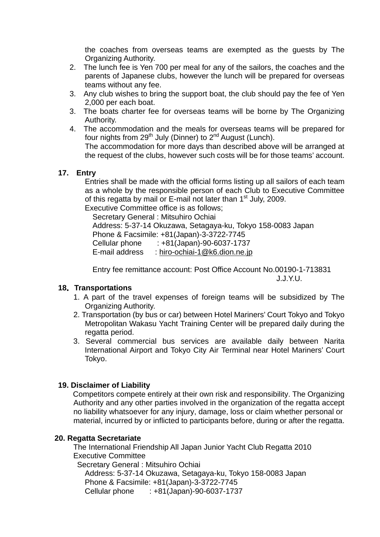the coaches from overseas teams are exempted as the guests by The Organizing Authority.

- 2. The lunch fee is Yen 700 per meal for any of the sailors, the coaches and the parents of Japanese clubs, however the lunch will be prepared for overseas teams without any fee.
- 3. Any club wishes to bring the support boat, the club should pay the fee of Yen 2,000 per each boat.
- 3. The boats charter fee for overseas teams will be borne by The Organizing Authority.
- 4. The accommodation and the meals for overseas teams will be prepared for four nights from  $29<sup>th</sup>$  July (Dinner) to  $2<sup>nd</sup>$  August (Lunch). The accommodation for more days than described above will be arranged at

the request of the clubs, however such costs will be for those teams' account.

#### **17. Entry**

 Entries shall be made with the official forms listing up all sailors of each team as a whole by the responsible person of each Club to Executive Committee of this regatta by mail or E-mail not later than 1<sup>st</sup> July, 2009.

Executive Committee office is as follows;

 Secretary General : Mitsuhiro Ochiai Address: 5-37-14 Okuzawa, Setagaya-ku, Tokyo 158-0083 Japan Phone & Facsimile: +81(Japan)-3-3722-7745 Cellular phone : +81(Japan)-90-6037-1737 E-mail address : [hiro-ochiai-1@k6.dion.ne.jp](mailto:hiro-ochiai-1@k6.dion.ne.jp)

Entry fee remittance account: Post Office Account No.00190-1-713831 J.J.Y.U.

### **18**.**Transportations**

- 1. A part of the travel expenses of foreign teams will be subsidized by The Organizing Authority.
- 2. Transportation (by bus or car) between Hotel Mariners' Court Tokyo and Tokyo Metropolitan Wakasu Yacht Training Center will be prepared daily during the regatta period.
- 3. Several commercial bus services are available daily between Narita International Airport and Tokyo City Air Terminal near Hotel Mariners' Court Tokyo.

### **19. Disclaimer of Liability**

 Competitors compete entirely at their own risk and responsibility. The Organizing Authority and any other parties involved in the organization of the regatta accept no liability whatsoever for any injury, damage, loss or claim whether personal or material, incurred by or inflicted to participants before, during or after the regatta.

#### **20. Regatta Secretariate**

The International Friendship All Japan Junior Yacht Club Regatta 2010 Executive Committee

 Secretary General : Mitsuhiro Ochiai Address: 5-37-14 Okuzawa, Setagaya-ku, Tokyo 158-0083 Japan Phone & Facsimile: +81(Japan)-3-3722-7745 Cellular phone : +81(Japan)-90-6037-1737